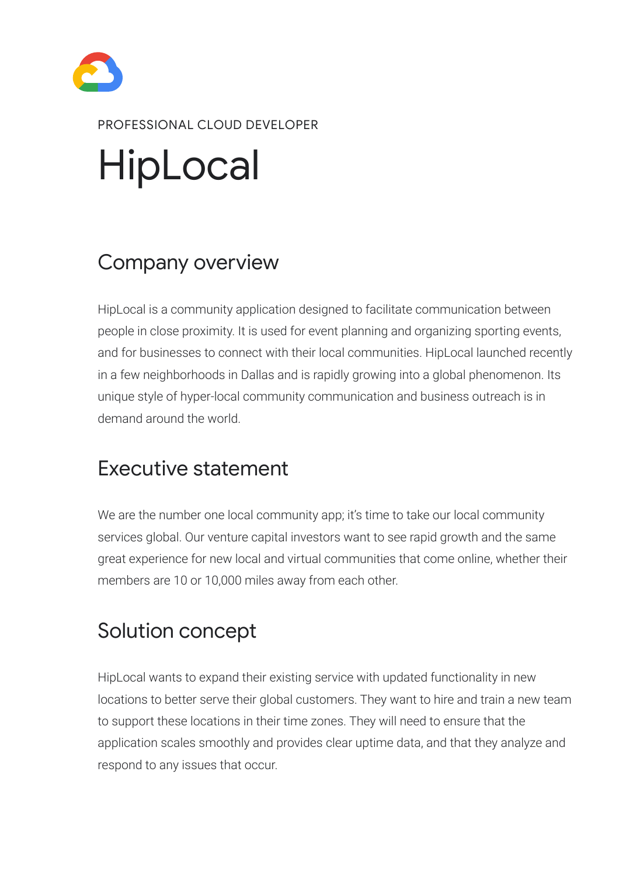# HipLocal



#### PROFESSIONAL CLOUD DEVELOPER

HipLocal is a community application designed to facilitate communication between people in close proximity. It is used for event planning and organizing sporting events, and for businesses to connect with their local communities. HipLocal launched recently in a few neighborhoods in Dallas and is rapidly growing into a global phenomenon. Its unique style of hyper-local community communication and business outreach is in demand around the world.

We are the number one local community app; it's time to take our local community services global. Our venture capital investors want to see rapid growth and the same great experience for new local and virtual communities that come online, whether their members are 10 or 10,000 miles away from each other.

HipLocal wants to expand their existing service with updated functionality in new locations to better serve their global customers. They want to hire and train a new team to support these locations in their time zones. They will need to ensure that the application scales smoothly and provides clear uptime data, and that they analyze and respond to any issues that occur.

#### Company overview

#### Executive statement

### Solution concept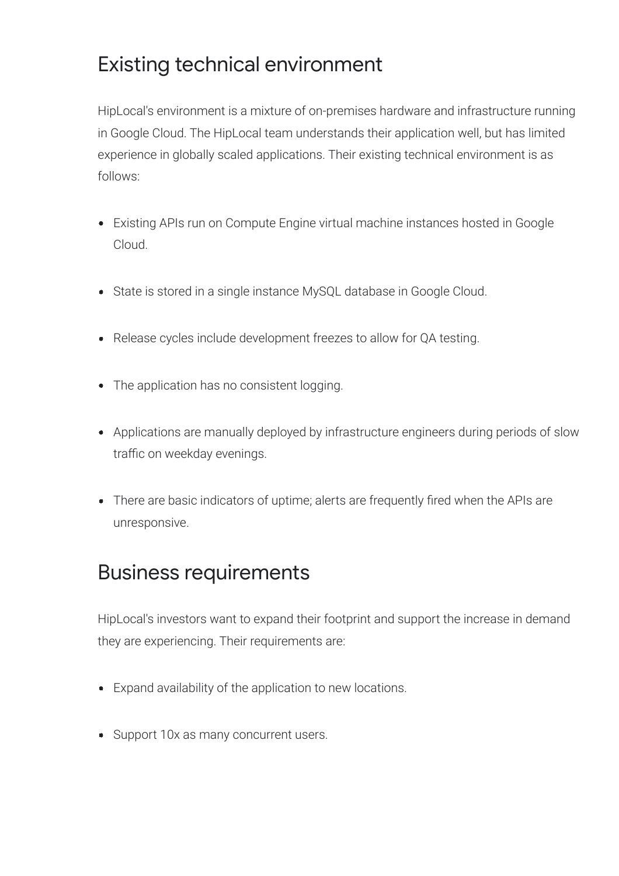HipLocal's environment is a mixture of on-premises hardware and infrastructure running in Google Cloud. The HipLocal team understands their application well, but has limited experience in globally scaled applications. Their existing technical environment is as follows:

HipLocal's investors want to expand their footprint and support the increase in demand they are experiencing. Their requirements are:

## Existing technical environment

# Business requirements

- Expand availability of the application to new locations.
- Support 10x as many concurrent users.
- Existing APIs run on Compute Engine virtual machine instances hosted in Google  $\bullet$ Cloud.
- State is stored in a single instance MySQL database in Google Cloud.  $\bullet$
- Release cycles include development freezes to allow for QA testing.  $\bullet$
- The application has no consistent logging.  $\bullet$
- Applications are manually deployed by infrastructure engineers during periods of slow traffic on weekday evenings.
- There are basic indicators of uptime; alerts are frequently fired when the APIs are unresponsive.